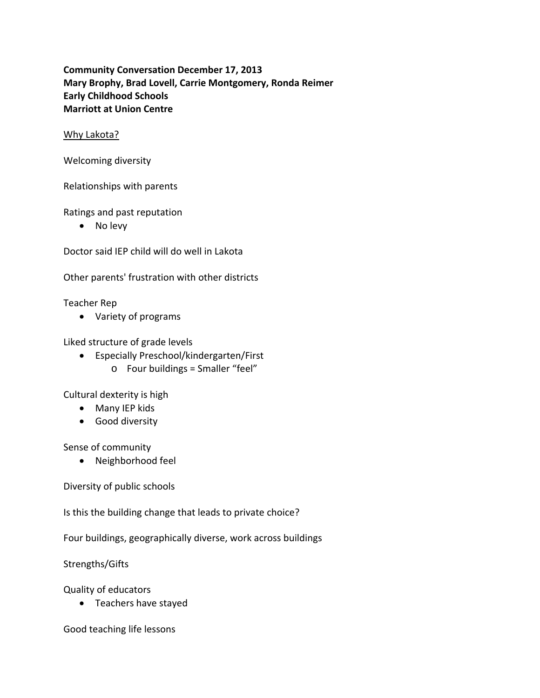**Community Conversation December 17, 2013 Mary Brophy, Brad Lovell, Carrie Montgomery, Ronda Reimer Early Childhood Schools Marriott at Union Centre**

## Why Lakota?

Welcoming diversity

Relationships with parents

Ratings and past reputation

• No levy

Doctor said IEP child will do well in Lakota

Other parents' frustration with other districts

Teacher Rep

Variety of programs

Liked structure of grade levels

- Especially Preschool/kindergarten/First
	- $\circ$  Four buildings = Smaller "feel"

Cultural dexterity is high

- Many IEP kids
- Good diversity

Sense of community

Neighborhood feel

Diversity of public schools

Is this the building change that leads to private choice?

Four buildings, geographically diverse, work across buildings

Strengths/Gifts

Quality of educators

• Teachers have stayed

Good teaching life lessons